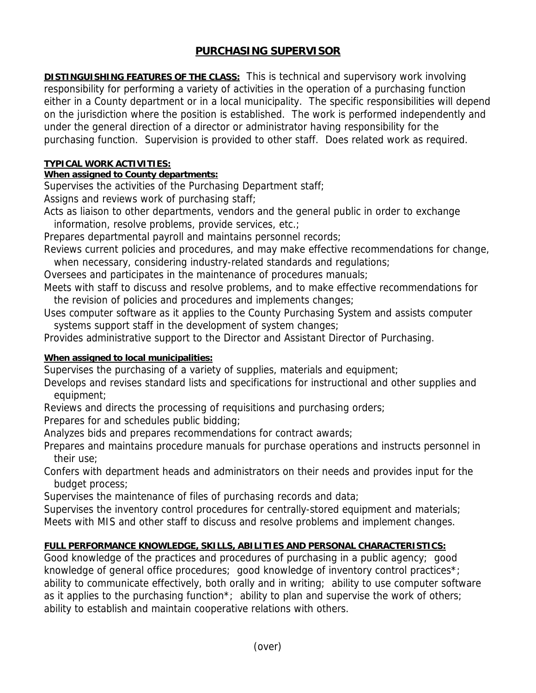# **PURCHASING SUPERVISOR**

**DISTINGUISHING FEATURES OF THE CLASS:** This is technical and supervisory work involving responsibility for performing a variety of activities in the operation of a purchasing function either in a County department or in a local municipality. The specific responsibilities will depend on the jurisdiction where the position is established. The work is performed independently and under the general direction of a director or administrator having responsibility for the purchasing function. Supervision is provided to other staff. Does related work as required.

### **TYPICAL WORK ACTIVITIES:**

## **When assigned to County departments:**

Supervises the activities of the Purchasing Department staff;

Assigns and reviews work of purchasing staff;

Acts as liaison to other departments, vendors and the general public in order to exchange information, resolve problems, provide services, etc.;

Prepares departmental payroll and maintains personnel records;

Reviews current policies and procedures, and may make effective recommendations for change, when necessary, considering industry-related standards and regulations;

Oversees and participates in the maintenance of procedures manuals;

Meets with staff to discuss and resolve problems, and to make effective recommendations for the revision of policies and procedures and implements changes;

Uses computer software as it applies to the County Purchasing System and assists computer systems support staff in the development of system changes;

Provides administrative support to the Director and Assistant Director of Purchasing.

### **When assigned to local municipalities:**

Supervises the purchasing of a variety of supplies, materials and equipment;

Develops and revises standard lists and specifications for instructional and other supplies and equipment:

Reviews and directs the processing of requisitions and purchasing orders;

Prepares for and schedules public bidding;

Analyzes bids and prepares recommendations for contract awards;

Prepares and maintains procedure manuals for purchase operations and instructs personnel in their use;

Confers with department heads and administrators on their needs and provides input for the budget process;

Supervises the maintenance of files of purchasing records and data;

Supervises the inventory control procedures for centrally-stored equipment and materials; Meets with MIS and other staff to discuss and resolve problems and implement changes.

# **FULL PERFORMANCE KNOWLEDGE, SKILLS, ABILITIES AND PERSONAL CHARACTERISTICS:**

Good knowledge of the practices and procedures of purchasing in a public agency; good knowledge of general office procedures; good knowledge of inventory control practices\*; ability to communicate effectively, both orally and in writing; ability to use computer software as it applies to the purchasing function<sup>\*</sup>; ability to plan and supervise the work of others; ability to establish and maintain cooperative relations with others.